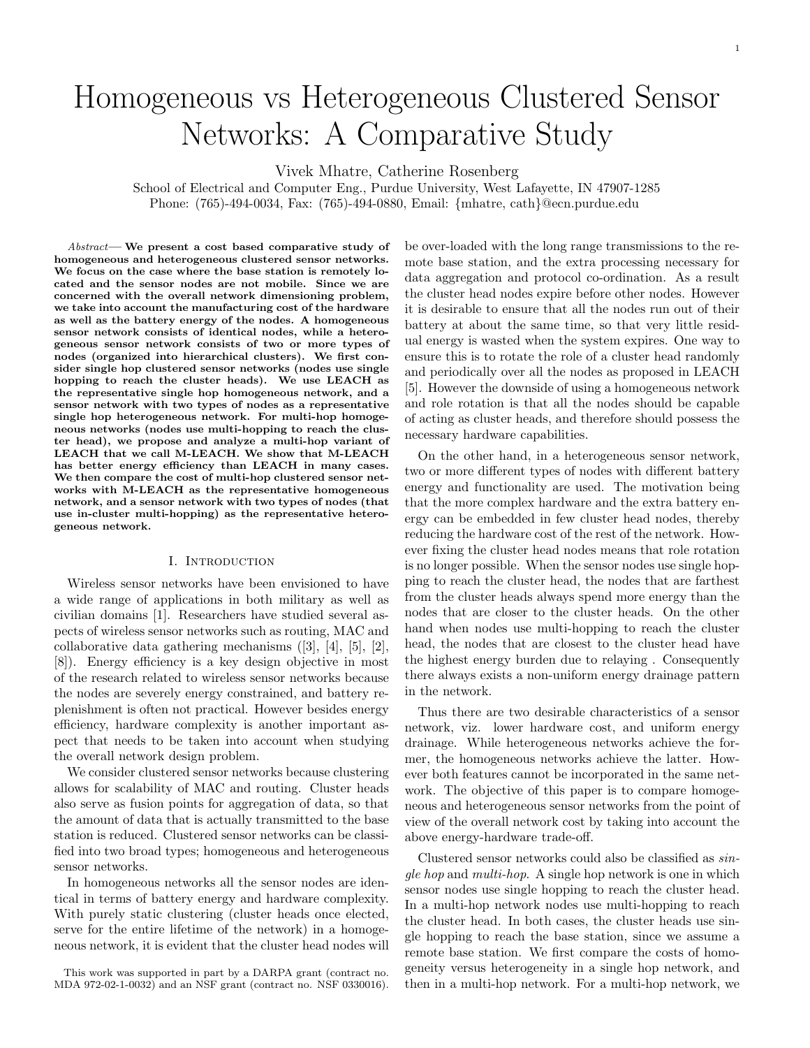# Homogeneous vs Heterogeneous Clustered Sensor Networks: A Comparative Study

Vivek Mhatre, Catherine Rosenberg

School of Electrical and Computer Eng., Purdue University, West Lafayette, IN 47907-1285 Phone: (765)-494-0034, Fax: (765)-494-0880, Email: {mhatre, cath}@ecn.purdue.edu

Abstract— We present a cost based comparative study of homogeneous and heterogeneous clustered sensor networks. We focus on the case where the base station is remotely located and the sensor nodes are not mobile. Since we are concerned with the overall network dimensioning problem, we take into account the manufacturing cost of the hardware as well as the battery energy of the nodes. A homogeneous sensor network consists of identical nodes, while a heterogeneous sensor network consists of two or more types of nodes (organized into hierarchical clusters). We first consider single hop clustered sensor networks (nodes use single hopping to reach the cluster heads). We use LEACH as the representative single hop homogeneous network, and a sensor network with two types of nodes as a representative single hop heterogeneous network. For multi-hop homogeneous networks (nodes use multi-hopping to reach the cluster head), we propose and analyze a multi-hop variant of LEACH that we call M-LEACH. We show that M-LEACH has better energy efficiency than LEACH in many cases. We then compare the cost of multi-hop clustered sensor networks with M-LEACH as the representative homogeneous network, and a sensor network with two types of nodes (that use in-cluster multi-hopping) as the representative heterogeneous network.

#### I. Introduction

Wireless sensor networks have been envisioned to have a wide range of applications in both military as well as civilian domains [1]. Researchers have studied several aspects of wireless sensor networks such as routing, MAC and collaborative data gathering mechanisms ([3], [4], [5], [2], [8]). Energy efficiency is a key design objective in most of the research related to wireless sensor networks because the nodes are severely energy constrained, and battery replenishment is often not practical. However besides energy efficiency, hardware complexity is another important aspect that needs to be taken into account when studying the overall network design problem.

We consider clustered sensor networks because clustering allows for scalability of MAC and routing. Cluster heads also serve as fusion points for aggregation of data, so that the amount of data that is actually transmitted to the base station is reduced. Clustered sensor networks can be classified into two broad types; homogeneous and heterogeneous sensor networks.

In homogeneous networks all the sensor nodes are identical in terms of battery energy and hardware complexity. With purely static clustering (cluster heads once elected, serve for the entire lifetime of the network) in a homogeneous network, it is evident that the cluster head nodes will

This work was supported in part by a DARPA grant (contract no. MDA 972-02-1-0032) and an NSF grant (contract no. NSF 0330016). be over-loaded with the long range transmissions to the remote base station, and the extra processing necessary for data aggregation and protocol co-ordination. As a result the cluster head nodes expire before other nodes. However it is desirable to ensure that all the nodes run out of their battery at about the same time, so that very little residual energy is wasted when the system expires. One way to ensure this is to rotate the role of a cluster head randomly and periodically over all the nodes as proposed in LEACH [5]. However the downside of using a homogeneous network and role rotation is that all the nodes should be capable of acting as cluster heads, and therefore should possess the necessary hardware capabilities.

On the other hand, in a heterogeneous sensor network, two or more different types of nodes with different battery energy and functionality are used. The motivation being that the more complex hardware and the extra battery energy can be embedded in few cluster head nodes, thereby reducing the hardware cost of the rest of the network. However fixing the cluster head nodes means that role rotation is no longer possible. When the sensor nodes use single hopping to reach the cluster head, the nodes that are farthest from the cluster heads always spend more energy than the nodes that are closer to the cluster heads. On the other hand when nodes use multi-hopping to reach the cluster head, the nodes that are closest to the cluster head have the highest energy burden due to relaying . Consequently there always exists a non-uniform energy drainage pattern in the network.

Thus there are two desirable characteristics of a sensor network, viz. lower hardware cost, and uniform energy drainage. While heterogeneous networks achieve the former, the homogeneous networks achieve the latter. However both features cannot be incorporated in the same network. The objective of this paper is to compare homogeneous and heterogeneous sensor networks from the point of view of the overall network cost by taking into account the above energy-hardware trade-off.

Clustered sensor networks could also be classified as single hop and multi-hop. A single hop network is one in which sensor nodes use single hopping to reach the cluster head. In a multi-hop network nodes use multi-hopping to reach the cluster head. In both cases, the cluster heads use single hopping to reach the base station, since we assume a remote base station. We first compare the costs of homogeneity versus heterogeneity in a single hop network, and then in a multi-hop network. For a multi-hop network, we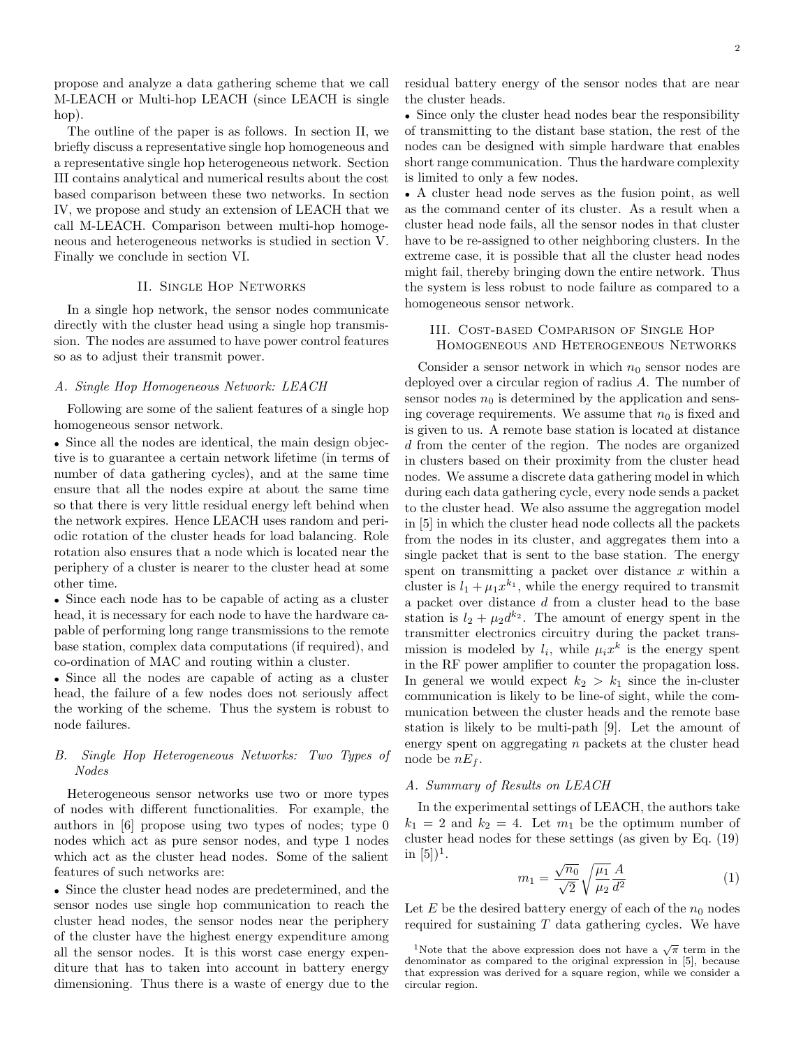propose and analyze a data gathering scheme that we call M-LEACH or Multi-hop LEACH (since LEACH is single hop).

The outline of the paper is as follows. In section II, we briefly discuss a representative single hop homogeneous and a representative single hop heterogeneous network. Section III contains analytical and numerical results about the cost based comparison between these two networks. In section IV, we propose and study an extension of LEACH that we call M-LEACH. Comparison between multi-hop homogeneous and heterogeneous networks is studied in section V. Finally we conclude in section VI.

#### II. Single Hop Networks

In a single hop network, the sensor nodes communicate directly with the cluster head using a single hop transmission. The nodes are assumed to have power control features so as to adjust their transmit power.

#### A. Single Hop Homogeneous Network: LEACH

Following are some of the salient features of a single hop homogeneous sensor network.

• Since all the nodes are identical, the main design objective is to guarantee a certain network lifetime (in terms of number of data gathering cycles), and at the same time ensure that all the nodes expire at about the same time so that there is very little residual energy left behind when the network expires. Hence LEACH uses random and periodic rotation of the cluster heads for load balancing. Role rotation also ensures that a node which is located near the periphery of a cluster is nearer to the cluster head at some other time.

• Since each node has to be capable of acting as a cluster head, it is necessary for each node to have the hardware capable of performing long range transmissions to the remote base station, complex data computations (if required), and co-ordination of MAC and routing within a cluster.

• Since all the nodes are capable of acting as a cluster head, the failure of a few nodes does not seriously affect the working of the scheme. Thus the system is robust to node failures.

# B. Single Hop Heterogeneous Networks: Two Types of Nodes

Heterogeneous sensor networks use two or more types of nodes with different functionalities. For example, the authors in [6] propose using two types of nodes; type 0 nodes which act as pure sensor nodes, and type 1 nodes which act as the cluster head nodes. Some of the salient features of such networks are:

• Since the cluster head nodes are predetermined, and the sensor nodes use single hop communication to reach the cluster head nodes, the sensor nodes near the periphery of the cluster have the highest energy expenditure among all the sensor nodes. It is this worst case energy expenditure that has to taken into account in battery energy dimensioning. Thus there is a waste of energy due to the

residual battery energy of the sensor nodes that are near the cluster heads.

• Since only the cluster head nodes bear the responsibility of transmitting to the distant base station, the rest of the nodes can be designed with simple hardware that enables short range communication. Thus the hardware complexity is limited to only a few nodes.

• A cluster head node serves as the fusion point, as well as the command center of its cluster. As a result when a cluster head node fails, all the sensor nodes in that cluster have to be re-assigned to other neighboring clusters. In the extreme case, it is possible that all the cluster head nodes might fail, thereby bringing down the entire network. Thus the system is less robust to node failure as compared to a homogeneous sensor network.

### III. Cost-based Comparison of Single Hop Homogeneous and Heterogeneous Networks

Consider a sensor network in which  $n_0$  sensor nodes are deployed over a circular region of radius A. The number of sensor nodes  $n_0$  is determined by the application and sensing coverage requirements. We assume that  $n_0$  is fixed and is given to us. A remote base station is located at distance d from the center of the region. The nodes are organized in clusters based on their proximity from the cluster head nodes. We assume a discrete data gathering model in which during each data gathering cycle, every node sends a packet to the cluster head. We also assume the aggregation model in [5] in which the cluster head node collects all the packets from the nodes in its cluster, and aggregates them into a single packet that is sent to the base station. The energy spent on transmitting a packet over distance  $x$  within a cluster is  $l_1 + \mu_1 x^{k_1}$ , while the energy required to transmit a packet over distance  $d$  from a cluster head to the base station is  $l_2 + \mu_2 d^{k_2}$ . The amount of energy spent in the transmitter electronics circuitry during the packet transmission is modeled by  $l_i$ , while  $\mu_i x^k$  is the energy spent in the RF power amplifier to counter the propagation loss. In general we would expect  $k_2 > k_1$  since the in-cluster communication is likely to be line-of sight, while the communication between the cluster heads and the remote base station is likely to be multi-path [9]. Let the amount of energy spent on aggregating  $n$  packets at the cluster head node be  $nE_f$ .

#### A. Summary of Results on LEACH

In the experimental settings of LEACH, the authors take  $k_1 = 2$  and  $k_2 = 4$ . Let  $m_1$  be the optimum number of cluster head nodes for these settings (as given by Eq. (19) in  $[5]$ <sup>1</sup>.

$$
m_1 = \frac{\sqrt{n_0}}{\sqrt{2}} \sqrt{\frac{\mu_1}{\mu_2}} \frac{A}{d^2}
$$
 (1)

Let E be the desired battery energy of each of the  $n_0$  nodes required for sustaining  $T$  data gathering cycles. We have

<sup>&</sup>lt;sup>1</sup>Note that the above expression does not have a  $\sqrt{\pi}$  term in the denominator as compared to the original expression in [5], because that expression was derived for a square region, while we consider a circular region.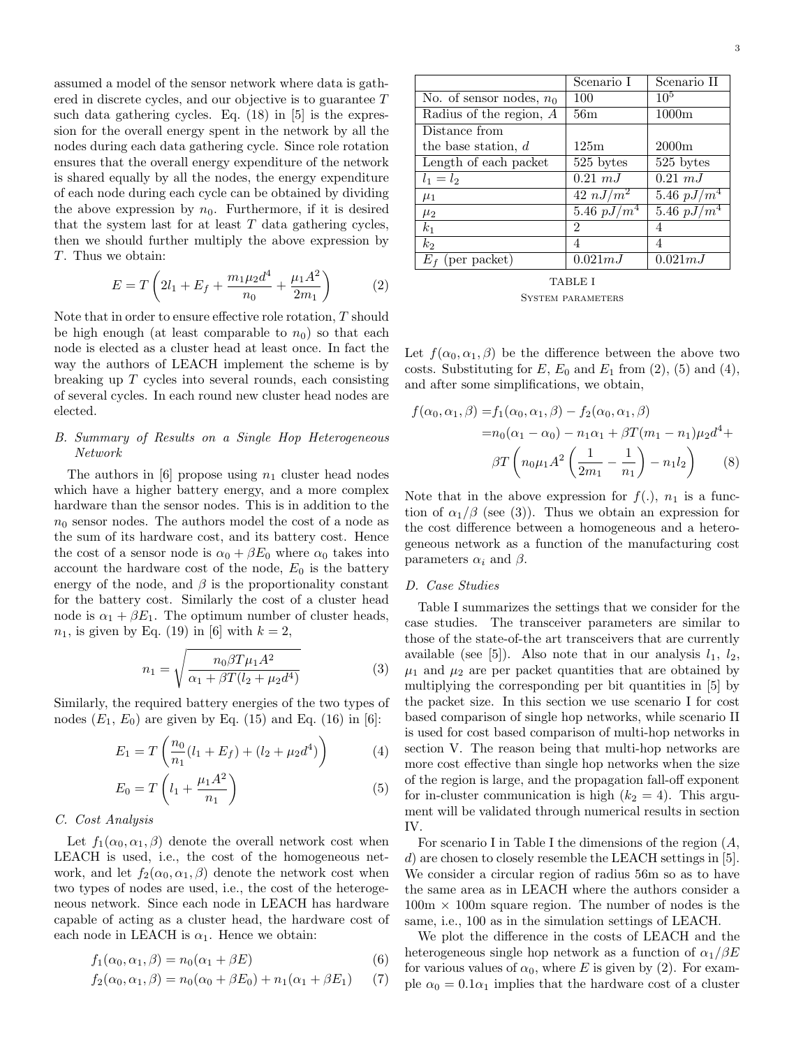assumed a model of the sensor network where data is gathered in discrete cycles, and our objective is to guarantee T such data gathering cycles. Eq.  $(18)$  in [5] is the expression for the overall energy spent in the network by all the nodes during each data gathering cycle. Since role rotation ensures that the overall energy expenditure of the network is shared equally by all the nodes, the energy expenditure of each node during each cycle can be obtained by dividing the above expression by  $n_0$ . Furthermore, if it is desired that the system last for at least  $T$  data gathering cycles, then we should further multiply the above expression by T. Thus we obtain:

$$
E = T\left(2l_1 + E_f + \frac{m_1\mu_2 d^4}{n_0} + \frac{\mu_1 A^2}{2m_1}\right) \tag{2}
$$

Note that in order to ensure effective role rotation, T should be high enough (at least comparable to  $n_0$ ) so that each node is elected as a cluster head at least once. In fact the way the authors of LEACH implement the scheme is by breaking up T cycles into several rounds, each consisting of several cycles. In each round new cluster head nodes are elected.

## B. Summary of Results on a Single Hop Heterogeneous Network

The authors in [6] propose using  $n_1$  cluster head nodes which have a higher battery energy, and a more complex hardware than the sensor nodes. This is in addition to the  $n_0$  sensor nodes. The authors model the cost of a node as the sum of its hardware cost, and its battery cost. Hence the cost of a sensor node is  $\alpha_0 + \beta E_0$  where  $\alpha_0$  takes into account the hardware cost of the node,  $E_0$  is the battery energy of the node, and  $\beta$  is the proportionality constant for the battery cost. Similarly the cost of a cluster head node is  $\alpha_1 + \beta E_1$ . The optimum number of cluster heads,  $n_1$ , is given by Eq. (19) in [6] with  $k = 2$ ,

$$
n_1 = \sqrt{\frac{n_0 \beta T \mu_1 A^2}{\alpha_1 + \beta T (l_2 + \mu_2 d^4)}}
$$
(3)

Similarly, the required battery energies of the two types of nodes  $(E_1, E_0)$  are given by Eq. (15) and Eq. (16) in [6]:

$$
E_1 = T\left(\frac{n_0}{n_1}(l_1 + E_f) + (l_2 + \mu_2 d^4)\right) \tag{4}
$$

$$
E_0 = T\left(l_1 + \frac{\mu_1 A^2}{n_1}\right) \tag{5}
$$

#### C. Cost Analysis

Let  $f_1(\alpha_0, \alpha_1, \beta)$  denote the overall network cost when LEACH is used, i.e., the cost of the homogeneous network, and let  $f_2(\alpha_0, \alpha_1, \beta)$  denote the network cost when two types of nodes are used, i.e., the cost of the heterogeneous network. Since each node in LEACH has hardware capable of acting as a cluster head, the hardware cost of each node in LEACH is  $\alpha_1$ . Hence we obtain:

$$
f_1(\alpha_0, \alpha_1, \beta) = n_0(\alpha_1 + \beta E) \tag{6}
$$

$$
f_2(\alpha_0, \alpha_1, \beta) = n_0(\alpha_0 + \beta E_0) + n_1(\alpha_1 + \beta E_1)
$$
 (7)

|                            | Scenario I     | Scenario II   |  |  |  |  |
|----------------------------|----------------|---------------|--|--|--|--|
| No. of sensor nodes, $n_0$ | 100            | $10^{5}$      |  |  |  |  |
| Radius of the region, A    | 56m            | 1000m         |  |  |  |  |
| Distance from              |                |               |  |  |  |  |
| the base station, $d$      | 125m           | 2000m         |  |  |  |  |
| Length of each packet      | 525 bytes      | 525 bytes     |  |  |  |  |
| $l_1 = l_2$                | $0.21 \; mJ$   | $0.21 \; mJ$  |  |  |  |  |
| $\mu_1$                    | $42 nJ/m^2$    | 5.46 $pJ/m^4$ |  |  |  |  |
| $\mu_2$                    | 5.46 $pJ/m^4$  | 5.46 $pJ/m^4$ |  |  |  |  |
| k <sub>1</sub>             | $\mathfrak{D}$ | 4             |  |  |  |  |
| $k_2$                      | 4              | 4             |  |  |  |  |
| $E_f$ (per packet)         | 0.021 mJ       | 0.021 mJ      |  |  |  |  |
| TABLE I                    |                |               |  |  |  |  |

System parameters

Let  $f(\alpha_0, \alpha_1, \beta)$  be the difference between the above two costs. Substituting for  $E, E_0$  and  $E_1$  from (2), (5) and (4), and after some simplifications, we obtain,

$$
f(\alpha_0, \alpha_1, \beta) = f_1(\alpha_0, \alpha_1, \beta) - f_2(\alpha_0, \alpha_1, \beta)
$$
  
=  $n_0(\alpha_1 - \alpha_0) - n_1\alpha_1 + \beta T(m_1 - n_1)\mu_2 d^4 +$   

$$
\beta T\left(n_0\mu_1 A^2 \left(\frac{1}{2m_1} - \frac{1}{n_1}\right) - n_1l_2\right)
$$
 (8)

Note that in the above expression for  $f(.)$ ,  $n_1$  is a function of  $\alpha_1/\beta$  (see (3)). Thus we obtain an expression for the cost difference between a homogeneous and a heterogeneous network as a function of the manufacturing cost parameters  $\alpha_i$  and  $\beta$ .

#### D. Case Studies

Table I summarizes the settings that we consider for the case studies. The transceiver parameters are similar to those of the state-of-the art transceivers that are currently available (see [5]). Also note that in our analysis  $l_1$ ,  $l_2$ ,  $\mu_1$  and  $\mu_2$  are per packet quantities that are obtained by multiplying the corresponding per bit quantities in [5] by the packet size. In this section we use scenario I for cost based comparison of single hop networks, while scenario II is used for cost based comparison of multi-hop networks in section V. The reason being that multi-hop networks are more cost effective than single hop networks when the size of the region is large, and the propagation fall-off exponent for in-cluster communication is high  $(k_2 = 4)$ . This argument will be validated through numerical results in section IV.

For scenario I in Table I the dimensions of the region (A, d) are chosen to closely resemble the LEACH settings in [5]. We consider a circular region of radius 56m so as to have the same area as in LEACH where the authors consider a  $100m \times 100m$  square region. The number of nodes is the same, i.e., 100 as in the simulation settings of LEACH.

We plot the difference in the costs of LEACH and the heterogeneous single hop network as a function of  $\alpha_1/\beta E$ for various values of  $\alpha_0$ , where E is given by (2). For example  $\alpha_0 = 0.1\alpha_1$  implies that the hardware cost of a cluster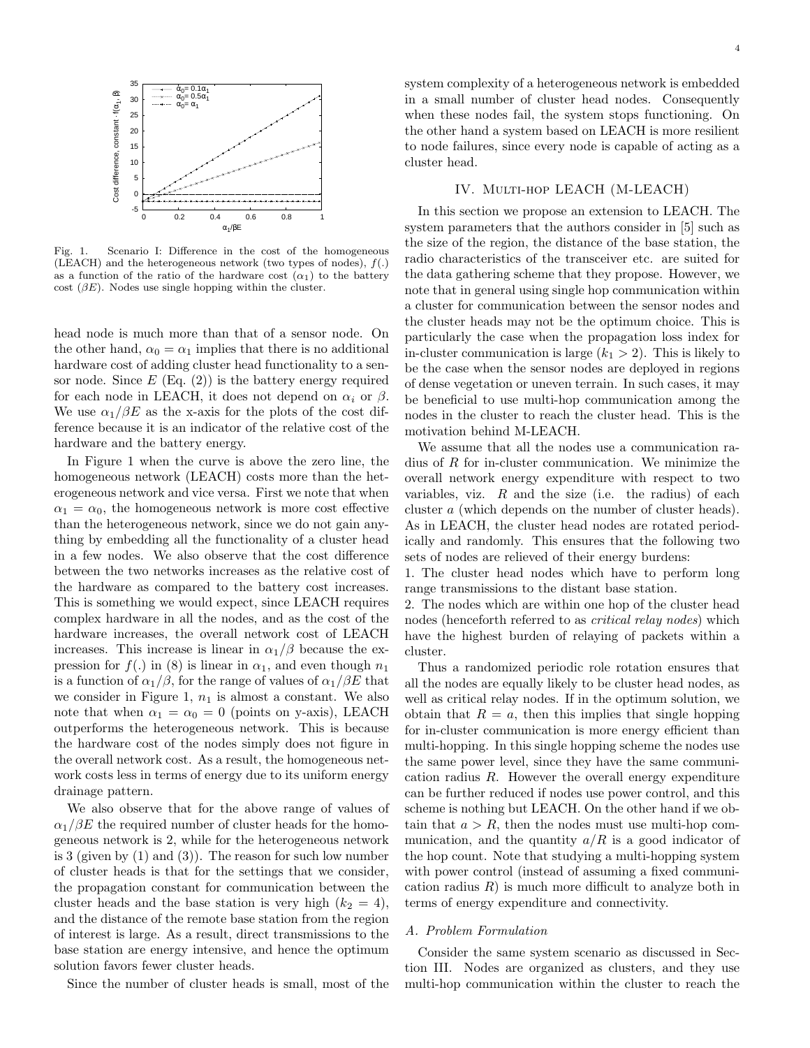

Fig. 1. Scenario I: Difference in the cost of the homogeneous (LEACH) and the heterogeneous network (two types of nodes),  $f(.)$ as a function of the ratio of the hardware cost  $(\alpha_1)$  to the battery cost  $(\beta E)$ . Nodes use single hopping within the cluster.

head node is much more than that of a sensor node. On the other hand,  $\alpha_0 = \alpha_1$  implies that there is no additional hardware cost of adding cluster head functionality to a sensor node. Since  $E$  (Eq. (2)) is the battery energy required for each node in LEACH, it does not depend on  $\alpha_i$  or  $\beta$ . We use  $\alpha_1/\beta E$  as the x-axis for the plots of the cost difference because it is an indicator of the relative cost of the hardware and the battery energy.

In Figure 1 when the curve is above the zero line, the homogeneous network (LEACH) costs more than the heterogeneous network and vice versa. First we note that when  $\alpha_1 = \alpha_0$ , the homogeneous network is more cost effective than the heterogeneous network, since we do not gain anything by embedding all the functionality of a cluster head in a few nodes. We also observe that the cost difference between the two networks increases as the relative cost of the hardware as compared to the battery cost increases. This is something we would expect, since LEACH requires complex hardware in all the nodes, and as the cost of the hardware increases, the overall network cost of LEACH increases. This increase is linear in  $\alpha_1/\beta$  because the expression for  $f(.)$  in (8) is linear in  $\alpha_1$ , and even though  $n_1$ is a function of  $\alpha_1/\beta$ , for the range of values of  $\alpha_1/\beta E$  that we consider in Figure 1,  $n_1$  is almost a constant. We also note that when  $\alpha_1 = \alpha_0 = 0$  (points on y-axis), LEACH outperforms the heterogeneous network. This is because the hardware cost of the nodes simply does not figure in the overall network cost. As a result, the homogeneous network costs less in terms of energy due to its uniform energy drainage pattern.

We also observe that for the above range of values of  $\alpha_1/\beta E$  the required number of cluster heads for the homogeneous network is 2, while for the heterogeneous network is 3 (given by (1) and (3)). The reason for such low number of cluster heads is that for the settings that we consider, the propagation constant for communication between the cluster heads and the base station is very high  $(k_2 = 4)$ , and the distance of the remote base station from the region of interest is large. As a result, direct transmissions to the base station are energy intensive, and hence the optimum solution favors fewer cluster heads.

Since the number of cluster heads is small, most of the

system complexity of a heterogeneous network is embedded in a small number of cluster head nodes. Consequently when these nodes fail, the system stops functioning. On the other hand a system based on LEACH is more resilient to node failures, since every node is capable of acting as a cluster head.

#### IV. Multi-hop LEACH (M-LEACH)

In this section we propose an extension to LEACH. The system parameters that the authors consider in [5] such as the size of the region, the distance of the base station, the radio characteristics of the transceiver etc. are suited for the data gathering scheme that they propose. However, we note that in general using single hop communication within a cluster for communication between the sensor nodes and the cluster heads may not be the optimum choice. This is particularly the case when the propagation loss index for in-cluster communication is large  $(k_1 > 2)$ . This is likely to be the case when the sensor nodes are deployed in regions of dense vegetation or uneven terrain. In such cases, it may be beneficial to use multi-hop communication among the nodes in the cluster to reach the cluster head. This is the motivation behind M-LEACH.

We assume that all the nodes use a communication radius of R for in-cluster communication. We minimize the overall network energy expenditure with respect to two variables, viz.  $R$  and the size (i.e. the radius) of each cluster a (which depends on the number of cluster heads). As in LEACH, the cluster head nodes are rotated periodically and randomly. This ensures that the following two sets of nodes are relieved of their energy burdens:

1. The cluster head nodes which have to perform long range transmissions to the distant base station.

2. The nodes which are within one hop of the cluster head nodes (henceforth referred to as *critical relay nodes*) which have the highest burden of relaying of packets within a cluster.

Thus a randomized periodic role rotation ensures that all the nodes are equally likely to be cluster head nodes, as well as critical relay nodes. If in the optimum solution, we obtain that  $R = a$ , then this implies that single hopping for in-cluster communication is more energy efficient than multi-hopping. In this single hopping scheme the nodes use the same power level, since they have the same communication radius  $R$ . However the overall energy expenditure can be further reduced if nodes use power control, and this scheme is nothing but LEACH. On the other hand if we obtain that  $a > R$ , then the nodes must use multi-hop communication, and the quantity  $a/R$  is a good indicator of the hop count. Note that studying a multi-hopping system with power control (instead of assuming a fixed communication radius  $R$ ) is much more difficult to analyze both in terms of energy expenditure and connectivity.

### A. Problem Formulation

Consider the same system scenario as discussed in Section III. Nodes are organized as clusters, and they use multi-hop communication within the cluster to reach the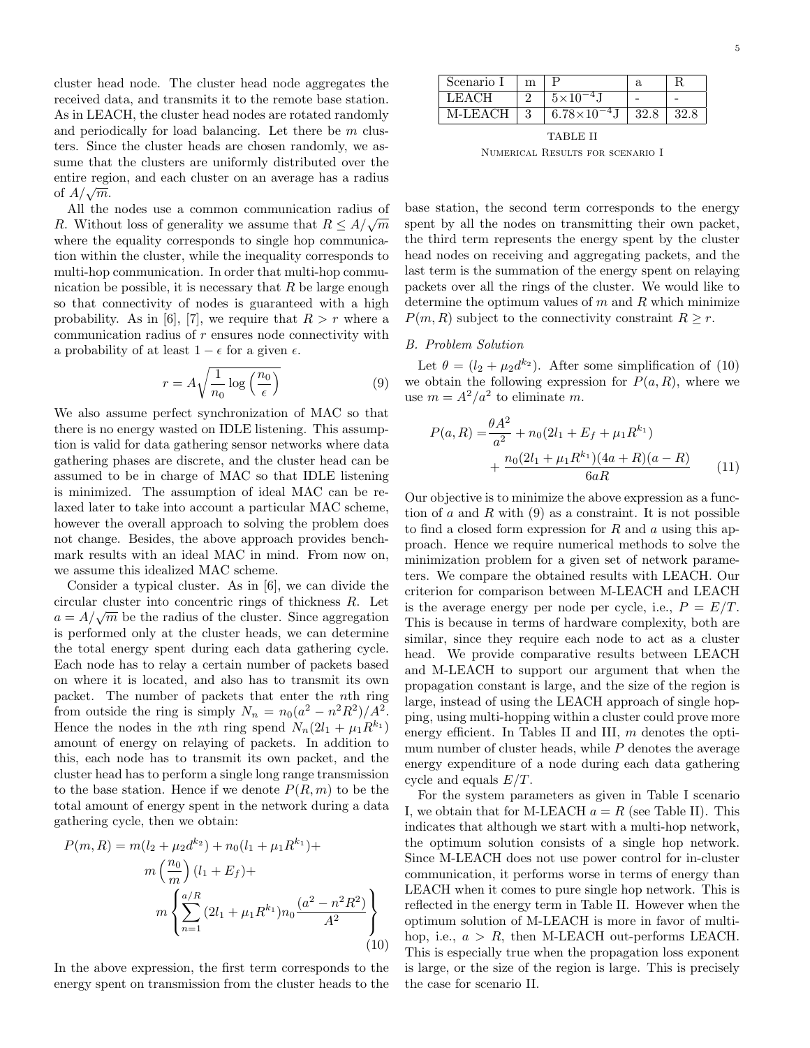cluster head node. The cluster head node aggregates the received data, and transmits it to the remote base station. As in LEACH, the cluster head nodes are rotated randomly and periodically for load balancing. Let there be  $m$  clusters. Since the cluster heads are chosen randomly, we assume that the clusters are uniformly distributed over the entire region, and each cluster on an average has a radius of  $A/\sqrt{m}$ .

All the nodes use a common communication radius of R. Without loss of generality we assume that  $R \leq A/\sqrt{m}$ where the equality corresponds to single hop communication within the cluster, while the inequality corresponds to multi-hop communication. In order that multi-hop communication be possible, it is necessary that  $R$  be large enough so that connectivity of nodes is guaranteed with a high probability. As in [6], [7], we require that  $R > r$  where a communication radius of  $r$  ensures node connectivity with a probability of at least  $1 - \epsilon$  for a given  $\epsilon$ .

$$
r = A \sqrt{\frac{1}{n_0} \log \left(\frac{n_0}{\epsilon}\right)}\tag{9}
$$

We also assume perfect synchronization of MAC so that there is no energy wasted on IDLE listening. This assumption is valid for data gathering sensor networks where data gathering phases are discrete, and the cluster head can be assumed to be in charge of MAC so that IDLE listening is minimized. The assumption of ideal MAC can be relaxed later to take into account a particular MAC scheme, however the overall approach to solving the problem does not change. Besides, the above approach provides benchmark results with an ideal MAC in mind. From now on, we assume this idealized MAC scheme.

Consider a typical cluster. As in [6], we can divide the circular cluster into concentric rings of thickness R. Let  $a = A/\sqrt{m}$  be the radius of the cluster. Since aggregation is performed only at the cluster heads, we can determine the total energy spent during each data gathering cycle. Each node has to relay a certain number of packets based on where it is located, and also has to transmit its own packet. The number of packets that enter the nth ring from outside the ring is simply  $N_n = n_0(a^2 - n^2R^2)/A^2$ . Hence the nodes in the *n*th ring spend  $N_n(2l_1 + \mu_1 R^{k_1})$ amount of energy on relaying of packets. In addition to this, each node has to transmit its own packet, and the cluster head has to perform a single long range transmission to the base station. Hence if we denote  $P(R, m)$  to be the total amount of energy spent in the network during a data gathering cycle, then we obtain:

$$
P(m, R) = m(l_2 + \mu_2 d^{k_2}) + n_0(l_1 + \mu_1 R^{k_1}) +
$$
  
\n
$$
m\left(\frac{n_0}{m}\right)(l_1 + E_f) +
$$
  
\n
$$
m\left\{\sum_{n=1}^{a/R} (2l_1 + \mu_1 R^{k_1})n_0 \frac{(a^2 - n^2 R^2)}{A^2}\right\}
$$
  
\n(10)

In the above expression, the first term corresponds to the energy spent on transmission from the cluster heads to the

| Scenario I |                |                |      |    |
|------------|----------------|----------------|------|----|
| LEACH      |                |                | -    |    |
| LLEACH     | $\Omega$<br>J. | $6.78\times10$ | 32.8 | 27 |

TABLE II Numerical Results for scenario I

base station, the second term corresponds to the energy spent by all the nodes on transmitting their own packet, the third term represents the energy spent by the cluster head nodes on receiving and aggregating packets, and the last term is the summation of the energy spent on relaying packets over all the rings of the cluster. We would like to determine the optimum values of  $m$  and  $R$  which minimize  $P(m, R)$  subject to the connectivity constraint  $R \geq r$ .

## B. Problem Solution

Let  $\theta = (l_2 + \mu_2 d^{k_2})$ . After some simplification of (10) we obtain the following expression for  $P(a, R)$ , where we use  $m = A^2/a^2$  to eliminate m.

$$
P(a,R) = \frac{\theta A^2}{a^2} + n_0(2l_1 + E_f + \mu_1 R^{k_1}) + \frac{n_0(2l_1 + \mu_1 R^{k_1})(4a + R)(a - R)}{6aR}
$$
 (11)

Our objective is to minimize the above expression as a function of a and R with  $(9)$  as a constraint. It is not possible to find a closed form expression for  $R$  and  $a$  using this approach. Hence we require numerical methods to solve the minimization problem for a given set of network parameters. We compare the obtained results with LEACH. Our criterion for comparison between M-LEACH and LEACH is the average energy per node per cycle, i.e.,  $P = E/T$ . This is because in terms of hardware complexity, both are similar, since they require each node to act as a cluster head. We provide comparative results between LEACH and M-LEACH to support our argument that when the propagation constant is large, and the size of the region is large, instead of using the LEACH approach of single hopping, using multi-hopping within a cluster could prove more energy efficient. In Tables II and III,  $m$  denotes the optimum number of cluster heads, while  $P$  denotes the average energy expenditure of a node during each data gathering cycle and equals  $E/T$ .

For the system parameters as given in Table I scenario I, we obtain that for M-LEACH  $a = R$  (see Table II). This indicates that although we start with a multi-hop network, the optimum solution consists of a single hop network. Since M-LEACH does not use power control for in-cluster communication, it performs worse in terms of energy than LEACH when it comes to pure single hop network. This is reflected in the energy term in Table II. However when the optimum solution of M-LEACH is more in favor of multihop, i.e.,  $a > R$ , then M-LEACH out-performs LEACH. This is especially true when the propagation loss exponent is large, or the size of the region is large. This is precisely the case for scenario II.